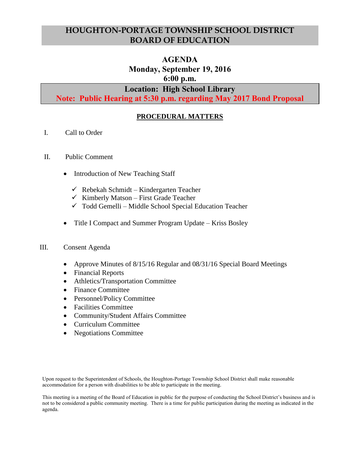# **HOUGHTON-PORTAGE TOWNSHIP SCHOOL DISTRICT BOARD OF EDUCATION**

# **AGENDA Monday, September 19, 2016 6:00 p.m.**

# **Location: High School Library**

**Note: Public Hearing at 5:30 p.m. regarding May 2017 Bond Proposal**

# **PROCEDURAL MATTERS**

- I. Call to Order
- II. Public Comment
	- Introduction of New Teaching Staff
		- $\checkmark$  Rebekah Schmidt Kindergarten Teacher
		- $\checkmark$  Kimberly Matson First Grade Teacher
		- $\checkmark$  Todd Gemelli Middle School Special Education Teacher
	- Title I Compact and Summer Program Update Kriss Bosley

## III. Consent Agenda

- Approve Minutes of 8/15/16 Regular and 08/31/16 Special Board Meetings
- Financial Reports
- Athletics/Transportation Committee
- Finance Committee
- Personnel/Policy Committee
- Facilities Committee
- Community/Student Affairs Committee
- Curriculum Committee
- Negotiations Committee

Upon request to the Superintendent of Schools, the Houghton-Portage Township School District shall make reasonable accommodation for a person with disabilities to be able to participate in the meeting.

This meeting is a meeting of the Board of Education in public for the purpose of conducting the School District's business and is not to be considered a public community meeting. There is a time for public participation during the meeting as indicated in the agenda.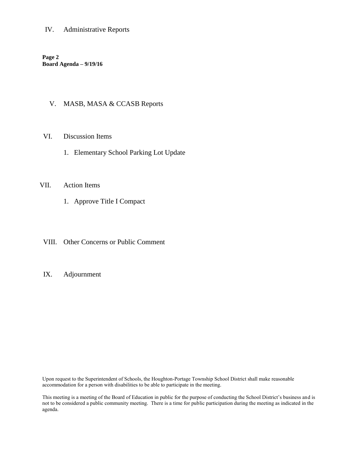# IV. Administrative Reports

**Page 2 Board Agenda – 9/19/16**

# V. MASB, MASA & CCASB Reports

#### VI. Discussion Items

1. Elementary School Parking Lot Update

### VII. Action Items

- 1. Approve Title I Compact
- VIII. Other Concerns or Public Comment

#### IX. Adjournment

Upon request to the Superintendent of Schools, the Houghton-Portage Township School District shall make reasonable accommodation for a person with disabilities to be able to participate in the meeting.

This meeting is a meeting of the Board of Education in public for the purpose of conducting the School District's business and is not to be considered a public community meeting. There is a time for public participation during the meeting as indicated in the agenda.